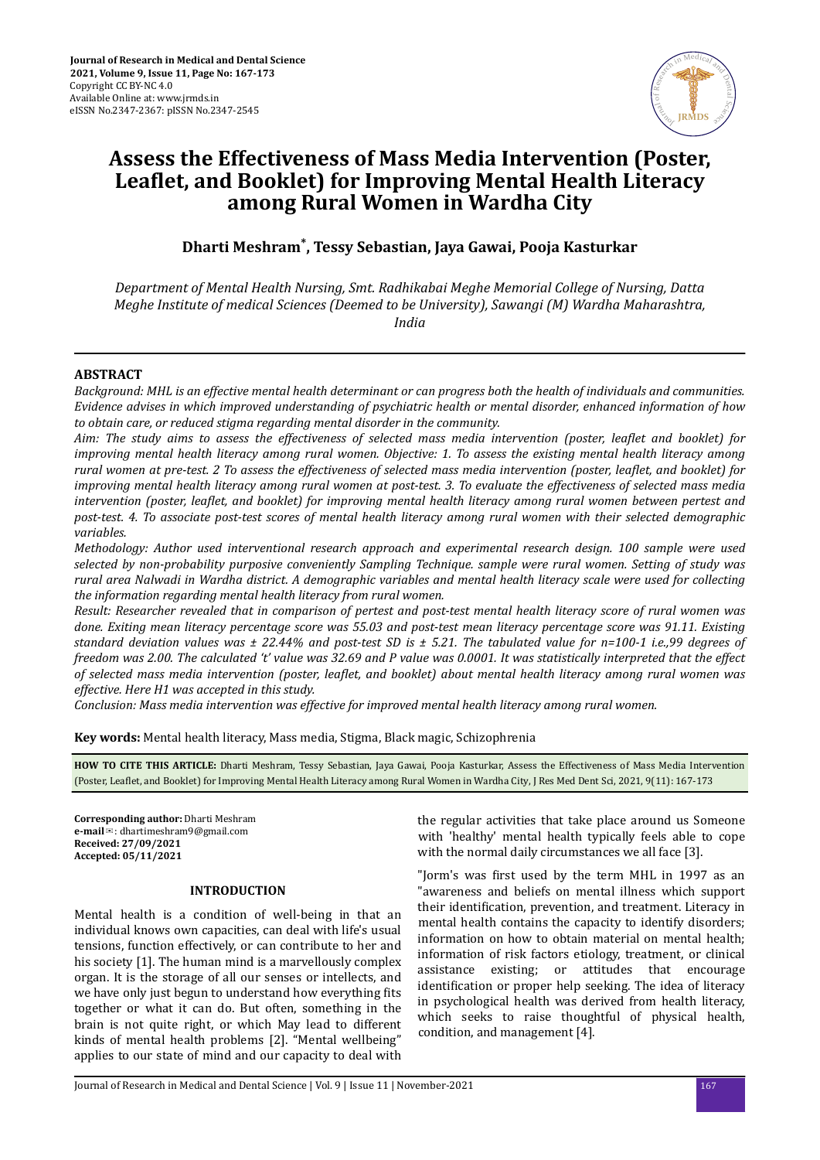

# **Assess the Effectiveness of Mass Media Intervention (Poster,** Leaflet, and Booklet) for Improving Mental Health Literacy **among Rural Women in Wardha City**

**Dharti Meshram\* , Tessy Sebastian, Jaya Gawai, Pooja Kasturkar**

*Department of Mental Health Nursing, Smt. Radhikabai Meghe Memorial College of Nursing, Datta Meghe Institute of medical Sciences (Deemed to be University), Sawangi (M) Wardha Maharashtra, India*

## **ABSTRACT**

*Background: MHL is an effective mental health determinant or can progress both the health of individuals and communities. Evidence advises in which improved understanding of psychiatric health or mental disorder, enhanced information of how to obtain care, or reduced stigma regarding mental disorder in the community.*

*Aim: The study aims to assess the effectiveness of selected mass media intervention (poster, leaflet and booklet) for improving mental health literacy among rural women. Objective: 1. To assess the existing mental health literacy among rural women at pre-test. 2 To assess the effectiveness of selected mass media intervention (poster, leaflet, and booklet) for improving mental health literacy among rural women at post-test. 3. To evaluate the effectiveness of selected mass media intervention (poster, leaflet, and booklet) for improving mental health literacy among rural women between pertest and post-test. 4. To associate post-test scores of mental health literacy among rural women with their selected demographic variables.*

*Methodology: Author used interventional research approach and experimental research design. 100 sample were used selected by non-probability purposive conveniently Sampling Technique. sample were rural women. Setting of study was rural area Nalwadi in Wardha district. A demographic variables and mental health literacy scale were used for collecting the information regarding mental health literacy from rural women.*

*Result: Researcher revealed that in comparison of pertest and post-test mental health literacy score of rural women was done. Exiting mean literacy percentage score was 55.03 and post-test mean literacy percentage score was 91.11. Existing standard deviation values was ± 22.44% and post-test SD is ± 5.21. The tabulated value for n=100-1 i.e.,99 degrees of freedom was 2.00. The calculated 't' value was 32.69 and P value was 0.0001. It was statistically interpreted that the effect of selected mass media intervention (poster, ϔǡ and booklet) about mental health literacy among rural women was effective. Here H1 was accepted in this study.*

*Conclusion: Mass media intervention was effective for improved mental health literacy among rural women.*

**Key words:** Mental health literacy, Mass media, Stigma, Black magic, Schizophrenia

**HOW TO CITE THIS ARTICLE:** Dharti Meshram, Tessy Sebastian, Jaya Gawai, Pooja Kasturkar, Assess the Effectiveness of Mass Media Intervention (Poster, Leaϐetǡ and Booklet) for Improving Mental Health Literacy among Rural Women in Wardha City, J Res Med Dent Sci, 2021, 9(11): 167-173

**Corresponding author:** Dharti Meshram **e-mail**✉: dhartimeshram9@gmail.com **Received: 27/09/2021 Accepted: 05/11/2021** 

## **INTRODUCTION**

Mental health is a condition of well-being in that an individual knows own capacities, can deal with life's usual tensions, function effectively, or can contribute to her and his society [1]. The human mind is a marvellously complex organ. It is the storage of all our senses or intellects, and we have only just begun to understand how everything fits together or what it can do. But often, something in the brain is not quite right, or which May lead to different kinds of mental health problems [2]. "Mental wellbeing" applies to our state of mind and our capacity to deal with

the regular activities that take place around us Someone with 'healthy' mental health typically feels able to cope with the normal daily circumstances we all face [3].

"Jorm's was first used by the term MHL in 1997 as an "awareness and beliefs on mental illness which support their identification, prevention, and treatment. Literacy in mental health contains the capacity to identify disorders; information on how to obtain material on mental health; information of risk factors etiology, treatment, or clinical assistance existing; or attitudes that encourage identification or proper help seeking. The idea of literacy in psychological health was derived from health literacy, which seeks to raise thoughtful of physical health, condition, and management [4].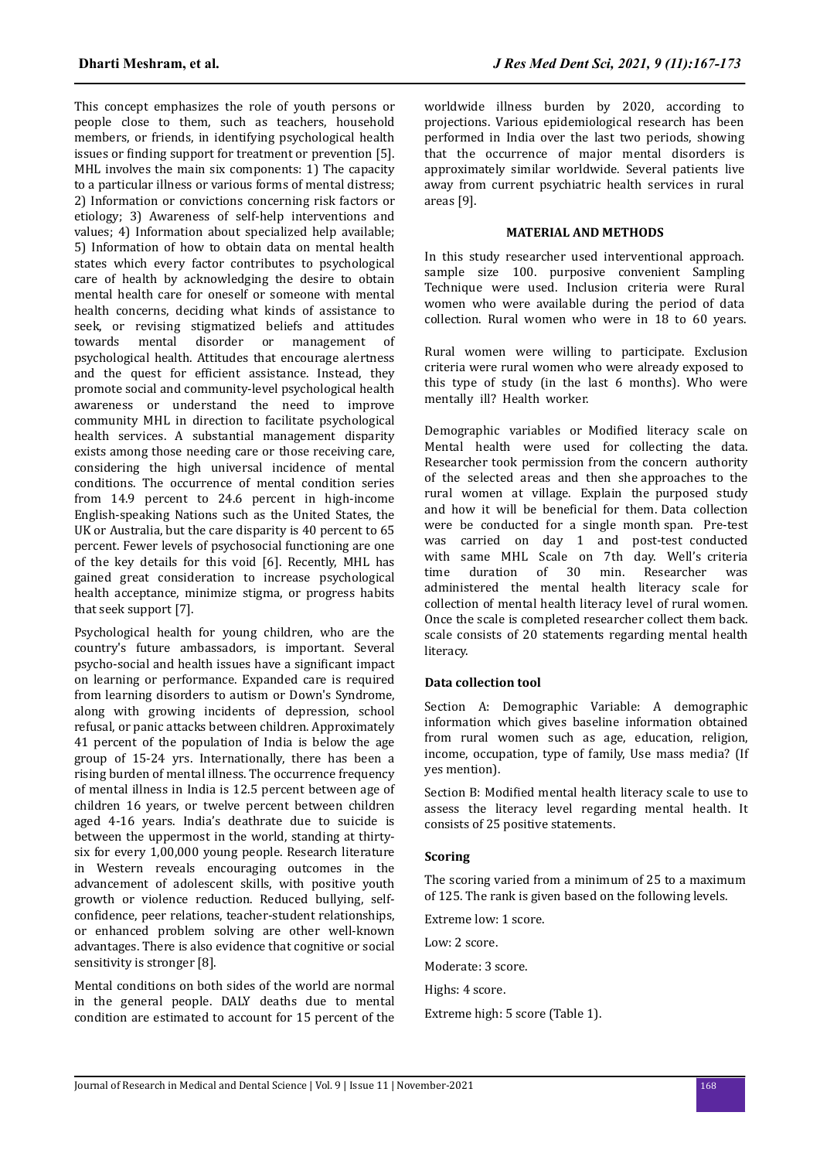This concept emphasizes the role of youth persons or people close to them, such as teachers, household members, or friends, in identifying psychological health issues or finding support for treatment or prevention [5]. MHL involves the main six components: 1) The capacity to a particular illness or various forms of mental distress; 2) Information or convictions concerning risk factors or etiology; 3) Awareness of self-help interventions and values; 4) Information about specialized help available; 5) Information of how to obtain data on mental health states which every factor contributes to psychological care of health by acknowledging the desire to obtain mental health care for oneself or someone with mental health concerns, deciding what kinds of assistance to seek, or revising stigmatized beliefs and attitudes towards mental disorder or management of psychological health. Attitudes that encourage alertness and the quest for efficient assistance. Instead, they promote social and community-level psychological health awareness or understand the need to improve community MHL in direction to facilitate psychological health services. A substantial management disparity exists among those needing care or those receiving care, considering the high universal incidence of mental conditions. The occurrence of mental condition series from 14.9 percent to 24.6 percent in high-income English-speaking Nations such as the United States, the UK or Australia, but the care disparity is 40 percent to 65 percent. Fewer levels of psychosocial functioning are one of the key details for this void [6]. Recently, MHL has gained great consideration to increase psychological health acceptance, minimize stigma, or progress habits that seek support [7].

Psychological health for young children, who are the country's future ambassadors, is important. Several psycho-social and health issues have a significant impact on learning or performance. Expanded care is required from learning disorders to autism or Down's Syndrome, along with growing incidents of depression, school refusal, or panic attacks between children. Approximately 41 percent of the population of India is below the age group of 15-24 yrs. Internationally, there has been a rising burden of mental illness. The occurrence frequency of mental illness in India is 12.5 percent between age of children 16 years, or twelve percent between children aged 4-16 years. India's deathrate due to suicide is between the uppermost in the world, standing at thirtysix for every 1,00,000 young people. Research literature in Western reveals encouraging outcomes in the advancement of adolescent skills, with positive youth growth or violence reduction. Reduced bullying, selfconfidence, peer relations, teacher-student relationships, or enhanced problem solving are other well-known advantages. There is also evidence that cognitive or social sensitivity is stronger [8].

Mental conditions on both sides of the world are normal in the general people. DALY deaths due to mental condition are estimated to account for 15 percent of the

worldwide illness burden by 2020, according to projections. Various epidemiological research has been performed in India over the last two periods, showing that the occurrence of major mental disorders is approximately similar worldwide. Several patients live away from current psychiatric health services in rural areas [9].

## **MATERIAL AND METHODS**

In this study researcher used interventional approach. sample size 100. purposive convenient Sampling Technique were used. Inclusion criteria were Rural women who were available during the period of data collection. Rural women who were in 18 to 60 years.

Rural women were willing to participate. Exclusion criteria were rural women who were already exposed to this type of study (in the last 6 months). Who were mentally ill? Health worker.

Demographic variables or Modified literacy scale on Mental health were used for collecting the data. Researcher took permission from the concern authority of the selected areas and then she approaches to the rural women at village. Explain the purposed study and how it will be beneficial for them. Data collection were be conducted for a single month span. Pre-test was carried on day 1 and post-test conducted with same MHL Scale on 7th day. Well's criteria time duration of 30 min. Researcher was administered the mental health literacy scale for collection of mental health literacy level of rural women. Once the scale is completed researcher collect them back. scale consists of 20 statements regarding mental health literacy.

## **Data collection tool**

Section A: Demographic Variable: A demographic information which gives baseline information obtained from rural women such as age, education, religion, income, occupation, type of family, Use mass media? (If yes mention).

Section B: Modified mental health literacy scale to use to assess the literacy level regarding mental health. It consists of 25 positive statements.

#### **Scoring**

The scoring varied from a minimum of 25 to a maximum of 125. The rank is given based on the following levels.

Extreme low: 1 score.

Low: 2 score.

Moderate: 3 score.

Highs: 4 score.

Extreme high: 5 score (Table 1).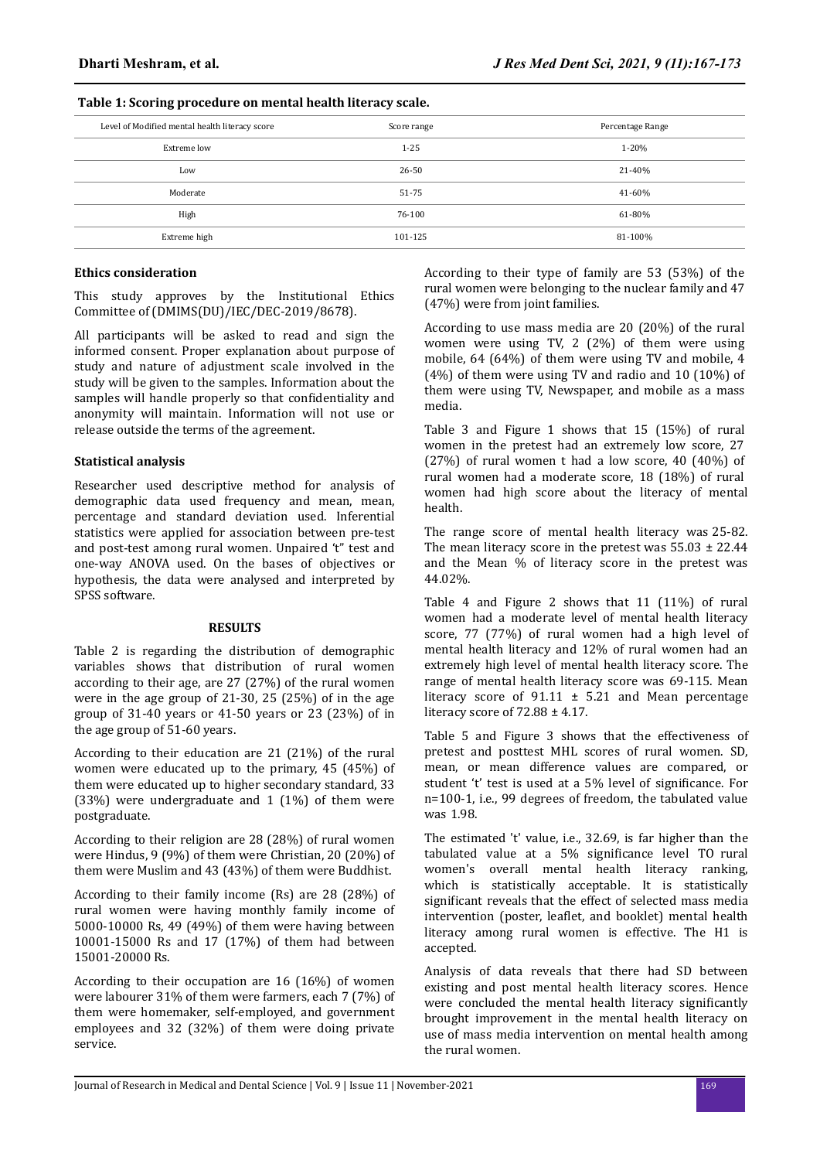## **Table 1: Scoring procedure on mental health literacy scale.**

| Level of Modified mental health literacy score | Score range | Percentage Range |  |
|------------------------------------------------|-------------|------------------|--|
| Extreme low                                    | $1 - 25$    | $1 - 20%$        |  |
| Low                                            | 26-50       | 21-40%           |  |
| Moderate                                       | 51-75       | 41-60%           |  |
| High                                           | 76-100      | 61-80%           |  |
| Extreme high                                   | 101-125     | 81-100%          |  |

## **Ethics consideration**

This study approves by the Institutional Ethics Committee of (DMIMS(DU)/IEC/DEC-2019/8678).

All participants will be asked to read and sign the informed consent. Proper explanation about purpose of study and nature of adjustment scale involved in the study will be given to the samples. Information about the samples will handle properly so that confidentiality and anonymity will maintain. Information will not use or release outside the terms of the agreement.

## **Statistical analysis**

Researcher used descriptive method for analysis of demographic data used frequency and mean, mean, percentage and standard deviation used. Inferential statistics were applied for association between pre-test and post-test among rural women. Unpaired 't" test and one-way ANOVA used. On the bases of objectives or hypothesis, the data were analysed and interpreted by SPSS software.

## **RESULTS**

Table 2 is regarding the distribution of demographic variables shows that distribution of rural women according to their age, are 27 (27%) of the rural women were in the age group of 21-30, 25 (25%) of in the age group of 31-40 years or 41-50 years or 23 (23%) of in the age group of 51-60 years.

According to their education are 21 (21%) of the rural women were educated up to the primary, 45 (45%) of them were educated up to higher secondary standard, 33 (33%) were undergraduate and 1 (1%) of them were postgraduate.

According to their religion are 28 (28%) of rural women were Hindus, 9 (9%) of them were Christian, 20 (20%) of them were Muslim and 43 (43%) of them were Buddhist.

According to their family income (Rs) are 28 (28%) of rural women were having monthly family income of 5000-10000 Rs, 49 (49%) of them were having between 10001-15000 Rs and 17 (17%) of them had between 15001-20000 Rs.

According to their occupation are 16 (16%) of women were labourer 31% of them were farmers, each 7 (7%) of them were homemaker, self-employed, and government employees and 32 (32%) of them were doing private service.

According to their type of family are 53 (53%) of the rural women were belonging to the nuclear family and 47 (47%) were from joint families.

According to use mass media are 20 (20%) of the rural women were using TV, 2 (2%) of them were using mobile, 64 (64%) of them were using TV and mobile, 4 (4%) of them were using TV and radio and 10 (10%) of them were using TV, Newspaper, and mobile as a mass media.

Table 3 and Figure 1 shows that 15 (15%) of rural women in the pretest had an extremely low score, 27 (27%) of rural women t had a low score, 40 (40%) of rural women had a moderate score, 18 (18%) of rural women had high score about the literacy of mental health.

The range score of mental health literacy was 25-82. The mean literacy score in the pretest was  $55.03 \pm 22.44$ and the Mean % of literacy score in the pretest was 44.02%.

Table 4 and Figure 2 shows that 11 (11%) of rural women had a moderate level of mental health literacy score, 77 (77%) of rural women had a high level of mental health literacy and 12% of rural women had an extremely high level of mental health literacy score. The range of mental health literacy score was 69-115. Mean literacy score of  $91.11 \pm 5.21$  and Mean percentage literacy score of 72.88 ± 4.17.

Table 5 and Figure 3 shows that the effectiveness of pretest and posttest MHL scores of rural women. SD, mean, or mean difference values are compared, or student 't' test is used at a 5% level of significance. For n=100-1, i.e., 99 degrees of freedom, the tabulated value was 1.98.

The estimated 't' value, i.e., 32.69, is far higher than the tabulated value at a 5% significance level TO rural women's overall mental health literacy ranking, which is statistically acceptable. It is statistically significant reveals that the effect of selected mass media intervention (poster, leaflet, and booklet) mental health literacy among rural women is effective. The H1 is accepted.

Analysis of data reveals that there had SD between existing and post mental health literacy scores. Hence were concluded the mental health literacy significantly brought improvement in the mental health literacy on use of mass media intervention on mental health among the rural women.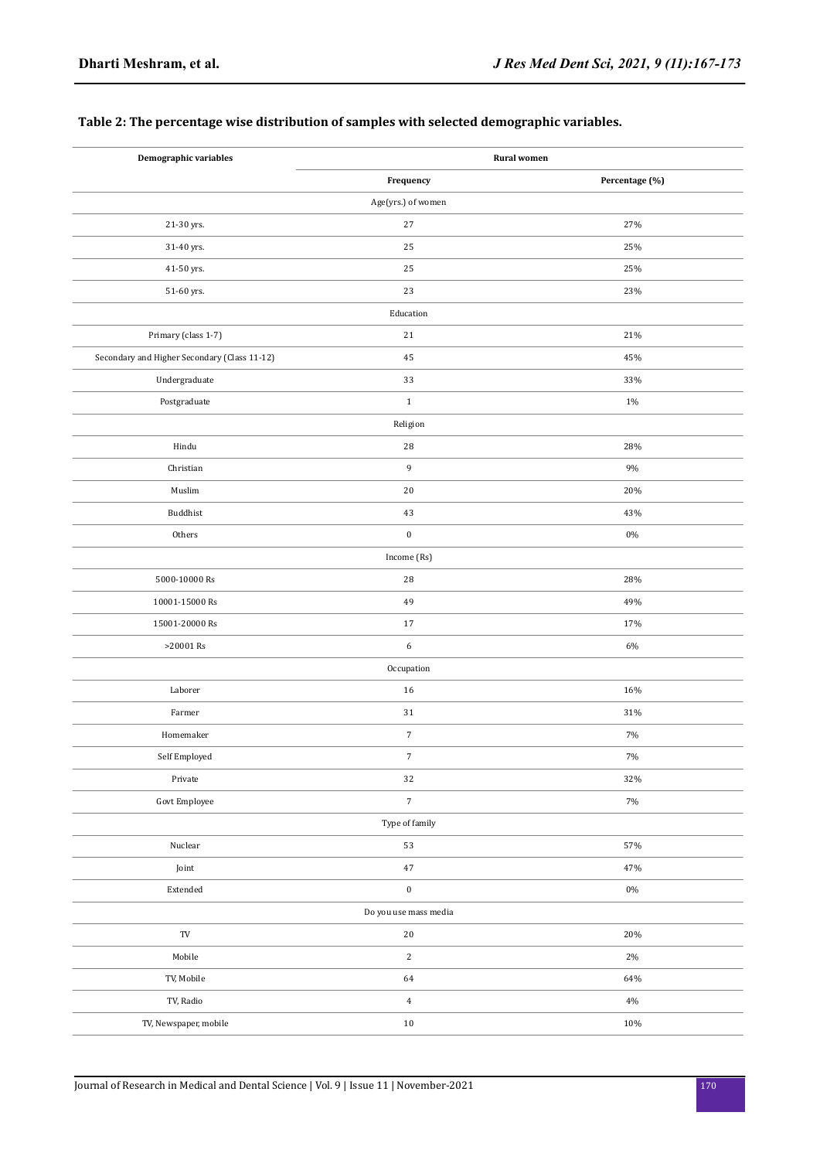# **Table 2: The percentage wise distribution of samples with selected demographic variables.**

| Demographic variables                        | <b>Rural</b> women |                |  |  |  |
|----------------------------------------------|--------------------|----------------|--|--|--|
|                                              | Frequency          | Percentage (%) |  |  |  |
|                                              | Age(yrs.) of women |                |  |  |  |
| 21-30 yrs.                                   | 27                 | 27%            |  |  |  |
| 31-40 yrs.                                   | 25                 | 25%            |  |  |  |
| 41-50 yrs.                                   | 25                 | 25%            |  |  |  |
| 51-60 yrs.                                   | 23                 | 23%            |  |  |  |
|                                              | Education          |                |  |  |  |
| Primary (class 1-7)                          | $21\,$             | 21%            |  |  |  |
| Secondary and Higher Secondary (Class 11-12) | 45                 | 45%            |  |  |  |
| Undergraduate                                | 33                 | 33%            |  |  |  |
| Postgraduate                                 | $\,1\,$            | 1%             |  |  |  |
|                                              | Religion           |                |  |  |  |
| Hindu                                        | 28                 | 28%            |  |  |  |
| Christian                                    | 9                  | 9%             |  |  |  |
| Muslim                                       | 20                 | 20%            |  |  |  |
| Buddhist                                     | 43                 | 43%            |  |  |  |
| Others                                       | $\boldsymbol{0}$   | 0%             |  |  |  |
|                                              | Income (Rs)        |                |  |  |  |
| 5000-10000 Rs                                | 28                 | 28%            |  |  |  |
| 10001-15000 Rs                               | 49                 | 49%            |  |  |  |
| 15001-20000 Rs                               | 17                 | 17%            |  |  |  |
| >20001 Rs                                    | 6                  | 6%             |  |  |  |
|                                              | Occupation         |                |  |  |  |
| Laborer                                      | 16                 | 16%            |  |  |  |
| Farmer                                       | 31                 | 31%            |  |  |  |
| Homemaker                                    | $\boldsymbol{7}$   | 7%             |  |  |  |
| Self Employed                                | $\sqrt{ }$         | 7%             |  |  |  |
| Private                                      | 32                 | 32%            |  |  |  |
| Govt Employee                                | $\boldsymbol{7}$   | $7\%$          |  |  |  |
| Type of family                               |                    |                |  |  |  |
| Nuclear                                      | 53                 | 57%            |  |  |  |
| Joint                                        | $47\,$             | 47%            |  |  |  |
| $\ensuremath{\mathsf{Extended}}$             | $\pmb{0}$          | $0\%$          |  |  |  |
| Do you use mass media                        |                    |                |  |  |  |
| $\operatorname{TV}$                          | $20\,$             | 20%            |  |  |  |
| Mobile                                       | $\,2\,$            | $2\%$          |  |  |  |
| TV, Mobile                                   | 64                 | 64%            |  |  |  |
| TV, Radio                                    | $\,4\,$            | $4\%$          |  |  |  |
| TV, Newspaper, mobile                        | $10\,$             | 10%            |  |  |  |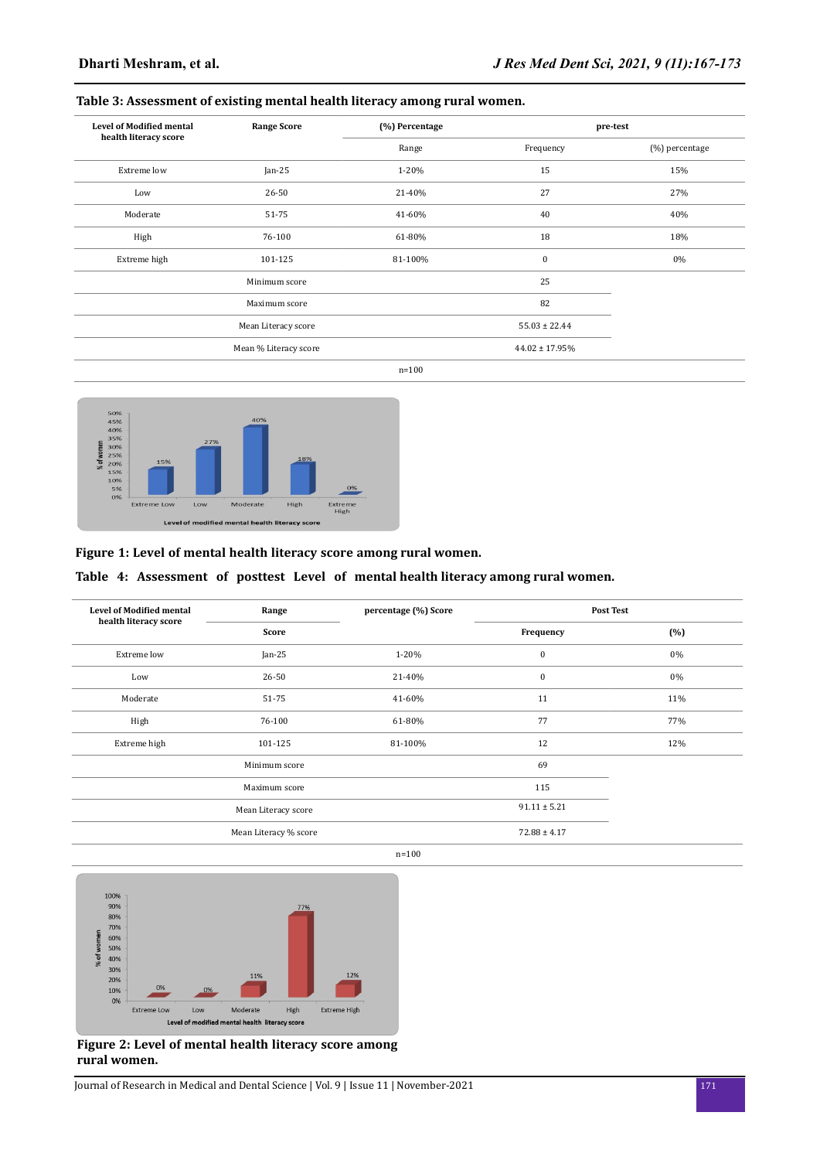# **Table 3: Assessment of existing mental health literacy among rural women.**

| <b>Level of Modified mental</b><br>health literacy score | <b>Range Score</b>    | (%) Percentage | pre-test            |                |
|----------------------------------------------------------|-----------------------|----------------|---------------------|----------------|
|                                                          |                       | Range          | Frequency           | (%) percentage |
| Extreme low                                              | $Jan-25$              | 1-20%          | 15                  | 15%            |
| Low                                                      | 26-50                 | 21-40%         | 27                  | 27%            |
| Moderate                                                 | 51-75<br>41-60%       |                | 40                  | 40%            |
| High                                                     | 76-100                | 61-80%         | 18                  | 18%            |
| Extreme high                                             | 101-125               | 81-100%        | $\boldsymbol{0}$    | 0%             |
|                                                          | Minimum score         |                | 25                  |                |
|                                                          | Maximum score         |                | 82                  |                |
|                                                          | Mean Literacy score   |                | $55.03 \pm 22.44$   |                |
|                                                          | Mean % Literacy score |                | $44.02 \pm 17.95\%$ |                |
|                                                          |                       | $n = 100$      |                     |                |



# **Figure 1: Level of mental health literacy score among rural women.**

## **Table 4: Assessment of posttest Level of mental health literacy among rural women.**

| <b>Level of Modified mental</b><br>health literacy score | Range                 | percentage (%) Score | <b>Post Test</b> |     |
|----------------------------------------------------------|-----------------------|----------------------|------------------|-----|
|                                                          | Score                 |                      | Frequency        | (%) |
| Extreme low                                              | $Jan-25$              | 1-20%                | $\bf{0}$         | 0%  |
| Low                                                      | 26-50                 | 21-40%               | $\bf{0}$         | 0%  |
| Moderate                                                 | 51-75                 | 41-60%               | 11               | 11% |
| High                                                     | 76-100                | 61-80%               | 77               | 77% |
| Extreme high                                             | 101-125               | 81-100%              | 12               | 12% |
|                                                          | Minimum score         |                      | 69               |     |
|                                                          | Maximum score         |                      | 115              |     |
|                                                          | Mean Literacy score   |                      | $91.11 \pm 5.21$ |     |
|                                                          | Mean Literacy % score |                      | $72.88 \pm 4.17$ |     |
|                                                          |                       | $n = 100$            |                  |     |





## **Figure 2: Level of mental health literacy score among rural women.**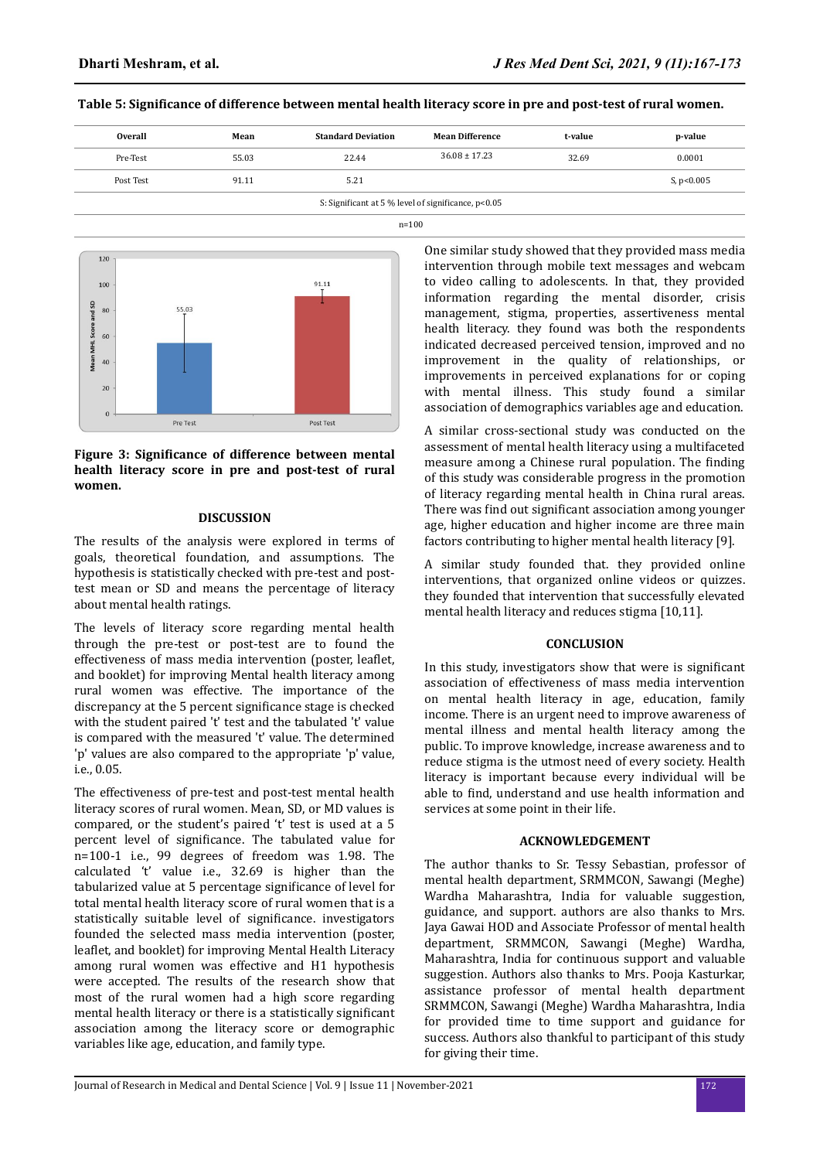# **Table 5: Significance of difference between mental health literacy score in pre and post-test of rural women.**

| <b>Overall</b>                                      | Mean  | <b>Standard Deviation</b> | <b>Mean Difference</b> | t-value | p-value      |  |
|-----------------------------------------------------|-------|---------------------------|------------------------|---------|--------------|--|
| Pre-Test                                            | 55.03 | 22.44                     | $36.08 \pm 17.23$      | 32.69   | 0.0001       |  |
| Post Test                                           | 91.11 | 5.21                      |                        |         | S, $p<0.005$ |  |
| S: Significant at 5 % level of significance, p<0.05 |       |                           |                        |         |              |  |
| $n = 100$                                           |       |                           |                        |         |              |  |



## Figure 3: Significance of difference between mental **health literacy score in pre and post-test of rural women.**

#### **DISCUSSION**

The results of the analysis were explored in terms of goals, theoretical foundation, and assumptions. The hypothesis is statistically checked with pre-test and posttest mean or SD and means the percentage of literacy about mental health ratings.

The levels of literacy score regarding mental health through the pre-test or post-test are to found the effectiveness of mass media intervention (poster, leaflet, and booklet) for improving Mental health literacy among rural women was effective. The importance of the discrepancy at the 5 percent significance stage is checked with the student paired 't' test and the tabulated 't' value is compared with the measured 't' value. The determined 'p' values are also compared to the appropriate 'p' value, i.e., 0.05.

The effectiveness of pre-test and post-test mental health literacy scores of rural women. Mean, SD, or MD values is compared, or the student's paired 't' test is used at a 5 percent level of significance. The tabulated value for n=100-1 i.e., 99 degrees of freedom was 1.98. The calculated 't' value i.e., 32.69 is higher than the tabularized value at 5 percentage significance of level for total mental health literacy score of rural women that is a statistically suitable level of significance. investigators founded the selected mass media intervention (poster, leaflet, and booklet) for improving Mental Health Literacy among rural women was effective and H1 hypothesis were accepted. The results of the research show that most of the rural women had a high score regarding mental health literacy or there is a statistically significant association among the literacy score or demographic variables like age, education, and family type.

One similar study showed that they provided mass media intervention through mobile text messages and webcam to video calling to adolescents. In that, they provided information regarding the mental disorder, crisis management, stigma, properties, assertiveness mental health literacy. they found was both the respondents indicated decreased perceived tension, improved and no improvement in the quality of relationships, or improvements in perceived explanations for or coping with mental illness. This study found a similar association of demographics variables age and education.

A similar cross-sectional study was conducted on the assessment of mental health literacy using a multifaceted measure among a Chinese rural population. The finding of this study was considerable progress in the promotion of literacy regarding mental health in China rural areas. There was find out significant association among younger age, higher education and higher income are three main factors contributing to higher mental health literacy [9].

A similar study founded that. they provided online interventions, that organized online videos or quizzes. they founded that intervention that successfully elevated mental health literacy and reduces stigma [10,11].

#### **CONCLUSION**

In this study, investigators show that were is significant association of effectiveness of mass media intervention on mental health literacy in age, education, family income. There is an urgent need to improve awareness of mental illness and mental health literacy among the public. To improve knowledge, increase awareness and to reduce stigma is the utmost need of every society. Health literacy is important because every individual will be able to find, understand and use health information and services at some point in their life.

#### **ACKNOWLEDGEMENT**

The author thanks to Sr. Tessy Sebastian, professor of mental health department, SRMMCON, Sawangi (Meghe) Wardha Maharashtra, India for valuable suggestion, guidance, and support. authors are also thanks to Mrs. Jaya Gawai HOD and Associate Professor of mental health department, SRMMCON, Sawangi (Meghe) Wardha, Maharashtra, India for continuous support and valuable suggestion. Authors also thanks to Mrs. Pooja Kasturkar, assistance professor of mental health department SRMMCON, Sawangi (Meghe) Wardha Maharashtra, India for provided time to time support and guidance for success. Authors also thankful to participant of this study for giving their time.